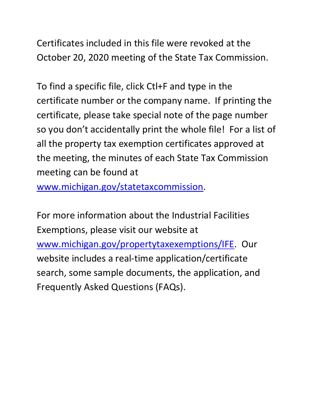Certificates included in this file were revoked at the October 20, 2020 meeting of the State Tax Commission.

 certificate number or the company name. If printing the so you don't accidentally print the whole file! For a list of To find a specific file, click Ctl+F and type in the certificate, please take special note of the page number all the property tax exemption certificates approved at the meeting, the minutes of each State Tax Commission meeting can be found at

[www.michigan.gov/statetaxcommission.](http://www.michigan.gov/statetaxcommission)

For more information about the Industrial Facilities Exemptions, please visit our website at [www.michigan.gov/propertytaxexemptions/IFE.](http://www.michigan.gov/taxes/0,1607,7-238-43535_53197-213175--,00.html) Our website includes a real-time application/certificate search, some sample documents, the application, and Frequently Asked Questions (FAQs).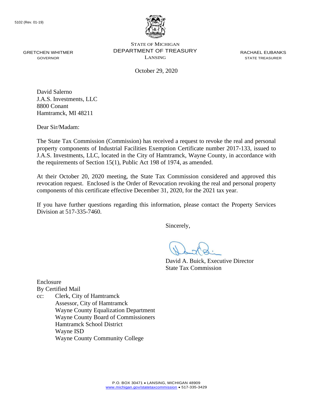

GRETCHEN WHITMER **DEPARTMENT OF TREASURY** RACHAEL EUBANKS STATE OF MICHIGAN GOVERNOR LANSING STATE TREASURER

October 29, 2020

David Salerno J.A.S. Investments, LLC 8800 Conant Hamtramck, MI 48211

Dear Sir/Madam:

 The State Tax Commission (Commission) has received a request to revoke the real and personal J.A.S. Investments, LLC, located in the City of Hamtramck, Wayne County, in accordance with property components of Industrial Facilities Exemption Certificate number 2017-133, issued to the requirements of Section 15(1), Public Act 198 of 1974, as amended.

At their October 20, 2020 meeting, the State Tax Commission considered and approved this revocation request. Enclosed is the Order of Revocation revoking the real and personal property components of this certificate effective December 31, 2020, for the 2021 tax year.

 If you have further questions regarding this information, please contact the Property Services Division at 517-335-7460.

Sincerely,

David A. Buick, Executive Director State Tax Commission

Enclosure By Certified Mail cc: Clerk, City of Hamtramck Assessor, City of Hamtramck Wayne County Equalization Department Wayne County Board of Commissioners Hamtramck School District Wayne ISD Wayne County Community College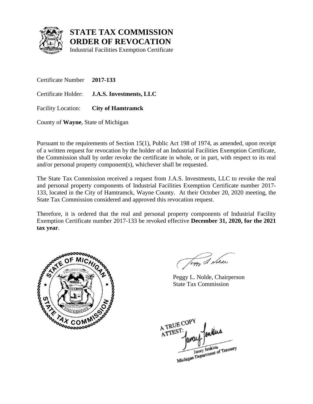

Industrial Facilities Exemption Certificate

Certificate Number **2017-133**  Certificate Holder: **J.A.S. Investments, LLC**  Facility Location: **City of Hamtramck** 

County of **Wayne**, State of Michigan

 the Commission shall by order revoke the certificate in whole, or in part, with respect to its real Pursuant to the requirements of Section 15(1), Public Act 198 of 1974, as amended, upon receipt of a written request for revocation by the holder of an Industrial Facilities Exemption Certificate, and/or personal property component(s), whichever shall be requested.

 The State Tax Commission received a request from J.A.S. Investments, LLC to revoke the real and personal property components of Industrial Facilities Exemption Certificate number 2017- 133, located in the City of Hamtramck, Wayne County. At their October 20, 2020 meeting, the State Tax Commission considered and approved this revocation request.

 Exemption Certificate number 2017-133 be revoked effective **December 31, 2020, for the 2021**  Therefore, it is ordered that the real and personal property components of Industrial Facility **tax year**.



Jeggy & Nolde

Peggy L. Nolde, Chairperson State Tax Commission

A TRUE COP ATTEST Janay Jenkins<br>Michigan Department of Treasury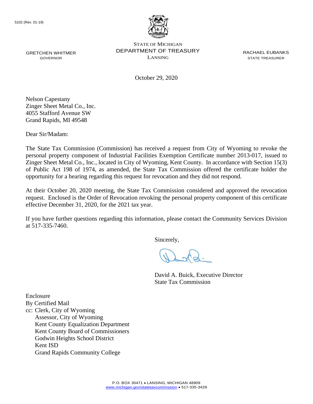

October 29, 2020

Nelson Capestany Zinger Sheet Metal Co., Inc. 4055 Stafford Avenue SW Grand Rapids, MI 49548

Dear Sir/Madam:

 The State Tax Commission (Commission) has received a request from City of Wyoming to revoke the of Public Act 198 of 1974, as amended, the State Tax Commission offered the certificate holder the personal property component of Industrial Facilities Exemption Certificate number 2013-017, issued to Zinger Sheet Metal Co., Inc., located in City of Wyoming, Kent County. In accordance with Section 15(3) opportunity for a hearing regarding this request for revocation and they did not respond.

At their October 20, 2020 meeting, the State Tax Commission considered and approved the revocation request. Enclosed is the Order of Revocation revoking the personal property component of this certificate effective December 31, 2020, for the 2021 tax year.

 If you have further questions regarding this information, please contact the Community Services Division at 517-335-7460.

Sincerely,

David A. Buick, Executive Director State Tax Commission

By Certified Mail cc: Clerk, City of Wyoming Assessor, City of Wyoming Kent County Equalization Department Kent County Board of Commissioners

Godwin Heights School District

Kent ISD

Enclosure

Grand Rapids Community College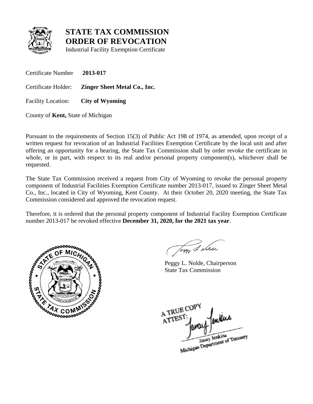

Industrial Facility Exemption Certificate

Certificate Number **2013-017** 

Certificate Holder: **Zinger Sheet Metal Co., Inc.** 

Facility Location: **City of Wyoming** 

County of **Kent,** State of Michigan

 Pursuant to the requirements of Section 15(3) of Public Act 198 of 1974, as amended, upon receipt of a offering an opportunity for a hearing, the State Tax Commission shall by order revoke the certificate in whole, or in part, with respect to its real and/or personal property component(s), whichever shall be requested. written request for revocation of an Industrial Facilities Exemption Certificate by the local unit and after

 Co., Inc., located in City of Wyoming, Kent County. At their October 20, 2020 meeting, the State Tax The State Tax Commission received a request from City of Wyoming to revoke the personal property component of Industrial Facilities Exemption Certificate number 2013-017, issued to Zinger Sheet Metal Commission considered and approved the revocation request.

Therefore, it is ordered that the personal property component of Industrial Facility Exemption Certificate number 2013-017 be revoked effective **December 31, 2020, for the 2021 tax year**.



Jegy 2 Nolde

Peggy L. Nolde, Chairperson State Tax Commission

A TRUE COP A TREST. Janay Jenkins<br>Michigan Department of Treasury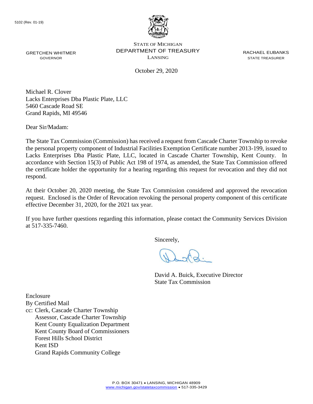

October 29, 2020

Michael R. Clover Lacks Enterprises Dba Plastic Plate, LLC 5460 Cascade Road SE Grand Rapids, MI 49546

Dear Sir/Madam:

 The State Tax Commission (Commission) has received a request from Cascade Charter Township to revoke Lacks Enterprises Dba Plastic Plate, LLC, located in Cascade Charter Township, Kent County. In accordance with Section 15(3) of Public Act 198 of 1974, as amended, the State Tax Commission offered the certificate holder the opportunity for a hearing regarding this request for revocation and they did not the personal property component of Industrial Facilities Exemption Certificate number 2013-199, issued to respond.

At their October 20, 2020 meeting, the State Tax Commission considered and approved the revocation request. Enclosed is the Order of Revocation revoking the personal property component of this certificate effective December 31, 2020, for the 2021 tax year.

 If you have further questions regarding this information, please contact the Community Services Division at 517-335-7460.

Sincerely,

David A. Buick, Executive Director State Tax Commission

Enclosure

By Certified Mail

cc: Clerk, Cascade Charter Township Assessor, Cascade Charter Township Kent County Equalization Department Kent County Board of Commissioners Forest Hills School District Kent ISD Grand Rapids Community College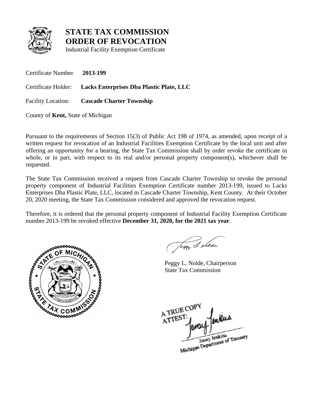

Industrial Facility Exemption Certificate

Certificate Number **2013-199**  Certificate Holder: **Lacks Enterprises Dba Plastic Plate, LLC**  Facility Location: **Cascade Charter Township** 

County of **Kent,** State of Michigan

 Pursuant to the requirements of Section 15(3) of Public Act 198 of 1974, as amended, upon receipt of a offering an opportunity for a hearing, the State Tax Commission shall by order revoke the certificate in whole, or in part, with respect to its real and/or personal property component(s), whichever shall be requested. written request for revocation of an Industrial Facilities Exemption Certificate by the local unit and after

 Enterprises Dba Plastic Plate, LLC, located in Cascade Charter Township, Kent County. At their October The State Tax Commission received a request from Cascade Charter Township to revoke the personal property component of Industrial Facilities Exemption Certificate number 2013-199, issued to Lacks 20, 2020 meeting, the State Tax Commission considered and approved the revocation request.

Therefore, it is ordered that the personal property component of Industrial Facility Exemption Certificate number 2013-199 be revoked effective **December 31, 2020, for the 2021 tax year**.



Jeggy & Nolde

Peggy L. Nolde, Chairperson State Tax Commission

A TRUE COP A TREST Janay Jenkins<br>Michigan Department of Treasury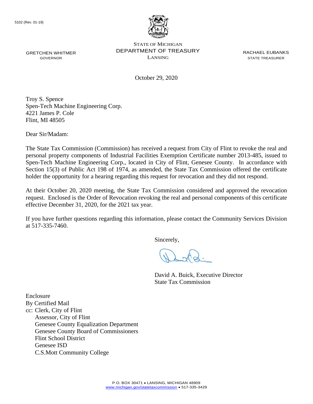

October 29, 2020

Troy S. Spence Spen-Tech Machine Engineering Corp. 4221 James P. Cole Flint, MI 48505

Dear Sir/Madam:

 The State Tax Commission (Commission) has received a request from City of Flint to revoke the real and Spen-Tech Machine Engineering Corp., located in City of Flint, Genesee County. In accordance with personal property components of Industrial Facilities Exemption Certificate number 2013-485, issued to Section 15(3) of Public Act 198 of 1974, as amended, the State Tax Commission offered the certificate holder the opportunity for a hearing regarding this request for revocation and they did not respond.

At their October 20, 2020 meeting, the State Tax Commission considered and approved the revocation request. Enclosed is the Order of Revocation revoking the real and personal components of this certificate effective December 31, 2020, for the 2021 tax year.

 If you have further questions regarding this information, please contact the Community Services Division at 517-335-7460.

Sincerely,

David A. Buick, Executive Director State Tax Commission

Enclosure By Certified Mail cc: Clerk, City of Flint Assessor, City of Flint Genesee County Equalization Department Genesee County Board of Commissioners Flint School District Genesee ISD C.S.Mott Community College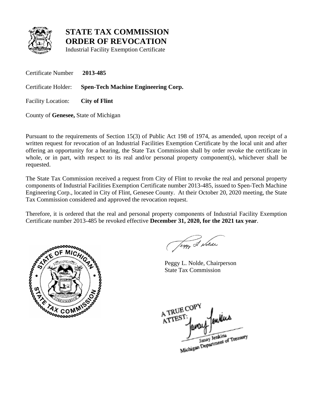

Industrial Facility Exemption Certificate

Certificate Number **2013-485** 

Certificate Holder: **Spen-Tech Machine Engineering Corp.** 

Facility Location: **City of Flint** 

County of **Genesee,** State of Michigan

 Pursuant to the requirements of Section 15(3) of Public Act 198 of 1974, as amended, upon receipt of a offering an opportunity for a hearing, the State Tax Commission shall by order revoke the certificate in whole, or in part, with respect to its real and/or personal property component(s), whichever shall be requested. written request for revocation of an Industrial Facilities Exemption Certificate by the local unit and after

 components of Industrial Facilities Exemption Certificate number 2013-485, issued to Spen-Tech Machine Engineering Corp., located in City of Flint, Genesee County. At their October 20, 2020 meeting, the State The State Tax Commission received a request from City of Flint to revoke the real and personal property Tax Commission considered and approved the revocation request.

Therefore, it is ordered that the real and personal property components of Industrial Facility Exemption Certificate number 2013-485 be revoked effective **December 31, 2020, for the 2021 tax year**.



Jeggy & Nolde

Peggy L. Nolde, Chairperson State Tax Commission

A TRUE COP A TREST Janay Jenkins<br>Michigan Department of Treasury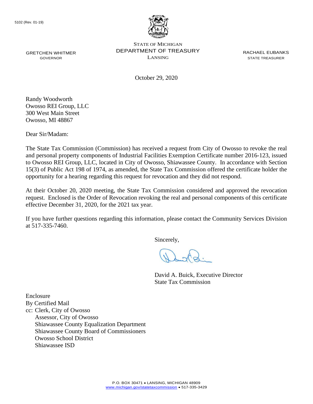

October 29, 2020

Randy Woodworth Owosso REI Group, LLC 300 West Main Street Owosso, MI 48867

Dear Sir/Madam:

 The State Tax Commission (Commission) has received a request from City of Owosso to revoke the real 15(3) of Public Act 198 of 1974, as amended, the State Tax Commission offered the certificate holder the and personal property components of Industrial Facilities Exemption Certificate number 2016-123, issued to Owosso REI Group, LLC, located in City of Owosso, Shiawassee County. In accordance with Section opportunity for a hearing regarding this request for revocation and they did not respond.

At their October 20, 2020 meeting, the State Tax Commission considered and approved the revocation request. Enclosed is the Order of Revocation revoking the real and personal components of this certificate effective December 31, 2020, for the 2021 tax year.

 If you have further questions regarding this information, please contact the Community Services Division at 517-335-7460.

Sincerely,

David A. Buick, Executive Director State Tax Commission

Enclosure By Certified Mail cc: Clerk, City of Owosso Assessor, City of Owosso Shiawassee County Equalization Department Shiawassee County Board of Commissioners Owosso School District Shiawassee ISD